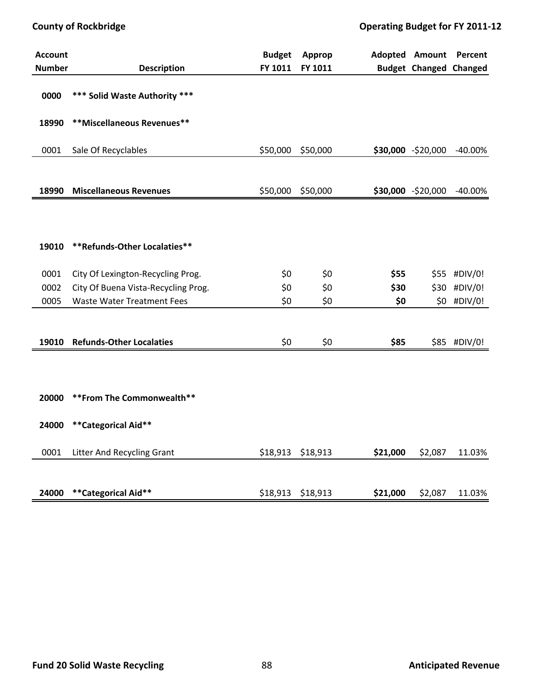| <b>Account</b><br><b>Number</b> | <b>Description</b>                  | <b>Budget</b><br>FY 1011 | Approp<br>FY 1011 |          | <b>Adopted Amount</b><br><b>Budget Changed Changed</b> | Percent      |
|---------------------------------|-------------------------------------|--------------------------|-------------------|----------|--------------------------------------------------------|--------------|
| 0000                            | *** Solid Waste Authority ***       |                          |                   |          |                                                        |              |
| 18990                           | **Miscellaneous Revenues**          |                          |                   |          |                                                        |              |
| 0001                            | Sale Of Recyclables                 | \$50,000                 | \$50,000          |          | \$30,000 -\$20,000                                     | $-40.00%$    |
| 18990                           | <b>Miscellaneous Revenues</b>       | \$50,000                 | \$50,000          |          | \$30,000 -\$20,000                                     | $-40.00\%$   |
|                                 |                                     |                          |                   |          |                                                        |              |
| 19010                           | **Refunds-Other Localaties**        |                          |                   |          |                                                        |              |
| 0001                            | City Of Lexington-Recycling Prog.   | \$0                      | \$0               | \$55     |                                                        | \$55 #DIV/0! |
| 0002                            | City Of Buena Vista-Recycling Prog. | \$0                      | \$0               | \$30     |                                                        | \$30 #DIV/0! |
| 0005                            | <b>Waste Water Treatment Fees</b>   | \$0                      | \$0               | \$0      |                                                        | \$0 #DIV/0!  |
| 19010                           | <b>Refunds-Other Localaties</b>     | \$0                      | \$0               | \$85     |                                                        | \$85 #DIV/0! |
|                                 |                                     |                          |                   |          |                                                        |              |
|                                 |                                     |                          |                   |          |                                                        |              |
| 20000                           | ** From The Commonwealth**          |                          |                   |          |                                                        |              |
| 24000                           | **Categorical Aid**                 |                          |                   |          |                                                        |              |
| 0001                            | Litter And Recycling Grant          | \$18,913                 | \$18,913          | \$21,000 | \$2,087                                                | 11.03%       |
| 24000                           | **Categorical Aid**                 | \$18,913                 | \$18,913          | \$21,000 | \$2,087                                                | 11.03%       |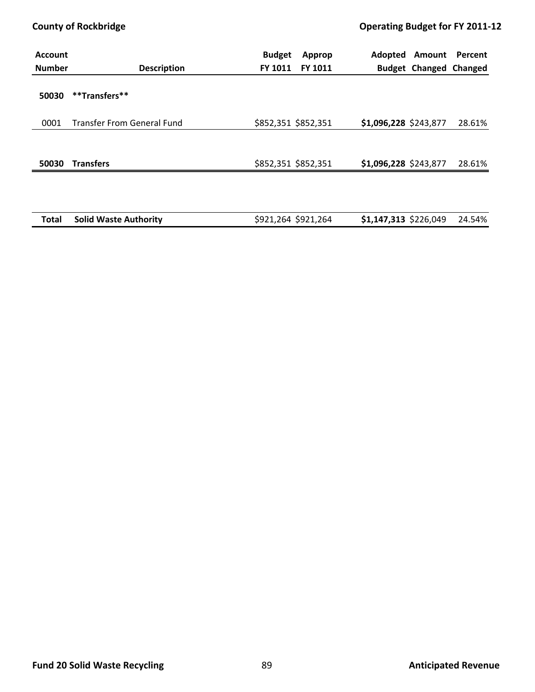| <b>Account</b><br><b>Number</b> | <b>Description</b>                | <b>Budget</b><br>Approp<br>FY 1011<br><b>FY 1011</b> | Adopted<br>Amount<br>Percent<br><b>Budget Changed Changed</b> |
|---------------------------------|-----------------------------------|------------------------------------------------------|---------------------------------------------------------------|
| 50030                           | **Transfers**                     |                                                      |                                                               |
| 0001                            | <b>Transfer From General Fund</b> | \$852,351 \$852,351                                  | \$1,096,228 \$243,877<br>28.61%                               |
| 50030                           | <b>Transfers</b>                  | \$852,351 \$852,351                                  | \$1,096,228 \$243,877<br>28.61%                               |
|                                 |                                   |                                                      |                                                               |
| Total                           | <b>Solid Waste Authority</b>      | \$921,264 \$921,264                                  | \$1,147,313 \$226,049<br>24.54%                               |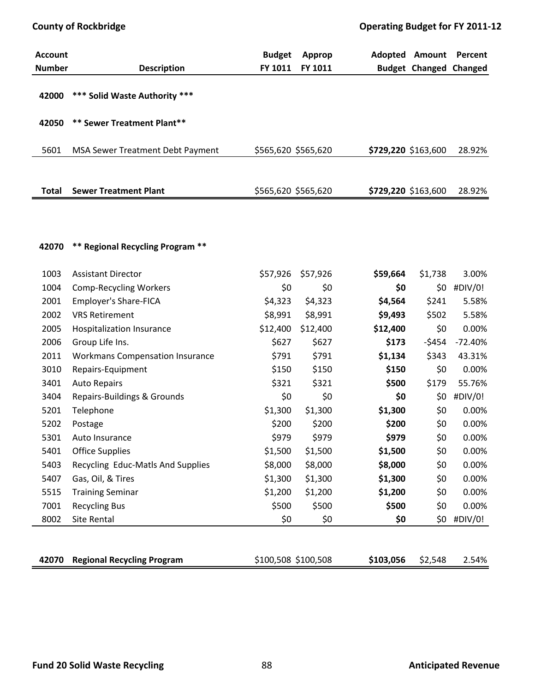| <b>Account</b><br><b>Number</b> | <b>Description</b>                      | <b>Budget</b><br>FY 1011 | Approp<br>FY 1011 |                     | Adopted Amount Percent<br><b>Budget Changed Changed</b> |           |
|---------------------------------|-----------------------------------------|--------------------------|-------------------|---------------------|---------------------------------------------------------|-----------|
| 42000                           | *** Solid Waste Authority ***           |                          |                   |                     |                                                         |           |
| 42050                           | ** Sewer Treatment Plant**              |                          |                   |                     |                                                         |           |
| 5601                            | MSA Sewer Treatment Debt Payment        | \$565,620 \$565,620      |                   |                     | \$729,220 \$163,600                                     | 28.92%    |
| <b>Total</b>                    | <b>Sewer Treatment Plant</b>            | \$565,620 \$565,620      |                   | \$729,220 \$163,600 |                                                         | 28.92%    |
|                                 |                                         |                          |                   |                     |                                                         |           |
| 42070                           | <b>** Regional Recycling Program **</b> |                          |                   |                     |                                                         |           |
| 1003                            | <b>Assistant Director</b>               | \$57,926                 | \$57,926          | \$59,664            | \$1,738                                                 | 3.00%     |
| 1004                            | <b>Comp-Recycling Workers</b>           | \$0                      | \$0               | \$0                 | \$0                                                     | #DIV/0!   |
| 2001                            | Employer's Share-FICA                   | \$4,323                  | \$4,323           | \$4,564             | \$241                                                   | 5.58%     |
| 2002                            | <b>VRS Retirement</b>                   | \$8,991                  | \$8,991           | \$9,493             | \$502                                                   | 5.58%     |
| 2005                            | Hospitalization Insurance               | \$12,400                 | \$12,400          | \$12,400            | \$0                                                     | 0.00%     |
| 2006                            | Group Life Ins.                         | \$627                    | \$627             | \$173               | $-5454$                                                 | $-72.40%$ |
| 2011                            | <b>Workmans Compensation Insurance</b>  | \$791                    | \$791             | \$1,134             | \$343                                                   | 43.31%    |
| 3010                            | Repairs-Equipment                       | \$150                    | \$150             | \$150               | \$0                                                     | 0.00%     |
| 3401                            | <b>Auto Repairs</b>                     | \$321                    | \$321             | \$500               | \$179                                                   | 55.76%    |
| 3404                            | Repairs-Buildings & Grounds             | \$0                      | \$0               | \$0                 | \$0                                                     | #DIV/0!   |
| 5201                            | Telephone                               | \$1,300                  | \$1,300           | \$1,300             | \$0                                                     | 0.00%     |
| 5202                            | Postage                                 | \$200                    | \$200             | \$200               | \$0                                                     | 0.00%     |
| 5301                            | Auto Insurance                          | \$979                    | \$979             | \$979               | \$0                                                     | 0.00%     |
| 5401                            | <b>Office Supplies</b>                  | \$1,500                  | \$1,500           | \$1,500             | \$0                                                     | 0.00%     |
| 5403                            | Recycling Educ-Matls And Supplies       | \$8,000                  | \$8,000           | \$8,000             | \$0                                                     | 0.00%     |
| 5407                            | Gas, Oil, & Tires                       | \$1,300                  | \$1,300           | \$1,300             | \$0                                                     | 0.00%     |
| 5515                            | <b>Training Seminar</b>                 | \$1,200                  | \$1,200           | \$1,200             | \$0                                                     | 0.00%     |
| 7001                            | <b>Recycling Bus</b>                    | \$500                    | \$500             | \$500               | \$0                                                     | 0.00%     |
| 8002                            | Site Rental                             | \$0                      | \$0               | \$0                 | \$0                                                     | #DIV/0!   |
| 42070                           | <b>Regional Recycling Program</b>       | \$100,508 \$100,508      |                   | \$103,056           | \$2,548                                                 | 2.54%     |